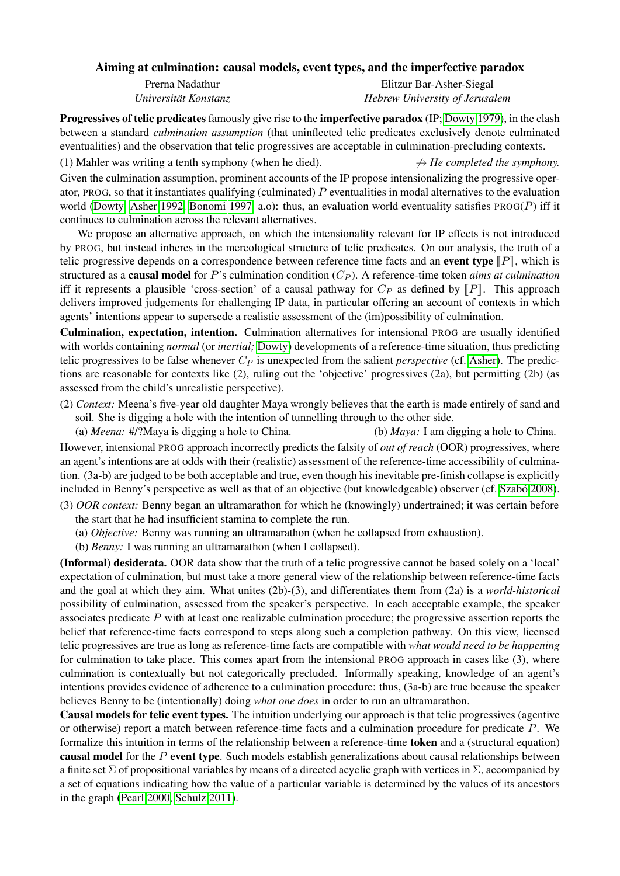## Aiming at culmination: causal models, event types, and the imperfective paradox

Prerna Nadathur *Universitat Konstanz ¨*

Elitzur Bar-Asher-Siegal *Hebrew University of Jerusalem*

Progressives of telic predicates famously give rise to the imperfective paradox (IP; [Dowty 1979\)](#page-2-0), in the clash between a standard *culmination assumption* (that uninflected telic predicates exclusively denote culminated eventualities) and the observation that telic progressives are acceptable in culmination-precluding contexts.

(1) Mahler was writing a tenth symphony (when he died).  $\rightarrow$  *He completed the symphony.* Given the culmination assumption, prominent accounts of the IP propose intensionalizing the progressive operator, PROG, so that it instantiates qualifying (culminated)  $P$  eventualities in modal alternatives to the evaluation world [\(Dowty,](#page-2-0) [Asher 1992,](#page-2-1) [Bonomi 1997,](#page-2-2) a.o): thus, an evaluation world eventuality satisfies  $PROG(P)$  iff it continues to culmination across the relevant alternatives.

We propose an alternative approach, on which the intensionality relevant for IP effects is not introduced by PROG, but instead inheres in the mereological structure of telic predicates. On our analysis, the truth of a telic progressive depends on a correspondence between reference time facts and an **event type**  $\llbracket P \rrbracket$ , which is structured as a **causal model** for  $P$ 's culmination condition  $(C_P)$ . A reference-time token *aims at culmination* iff it represents a plausible 'cross-section' of a causal pathway for  $C_P$  as defined by  $\llbracket P \rrbracket$ . This approach delivers improved judgements for challenging IP data, in particular offering an account of contexts in which agents' intentions appear to supersede a realistic assessment of the (im)possibility of culmination.

Culmination, expectation, intention. Culmination alternatives for intensional PROG are usually identified with worlds containing *normal* (or *inertial;* [Dowty\)](#page-2-0) developments of a reference-time situation, thus predicting telic progressives to be false whenever  $C_P$  is unexpected from the salient *perspective* (cf. [Asher\)](#page-2-1). The predictions are reasonable for contexts like (2), ruling out the 'objective' progressives (2a), but permitting (2b) (as assessed from the child's unrealistic perspective).

(2) *Context:* Meena's five-year old daughter Maya wrongly believes that the earth is made entirely of sand and soil. She is digging a hole with the intention of tunnelling through to the other side.

(a) *Meena:* #/?Maya is digging a hole to China. (b) *Maya:* I am digging a hole to China.

However, intensional PROG approach incorrectly predicts the falsity of *out of reach* (OOR) progressives, where an agent's intentions are at odds with their (realistic) assessment of the reference-time accessibility of culmination. (3a-b) are judged to be both acceptable and true, even though his inevitable pre-finish collapse is explicitly included in Benny's perspective as well as that of an objective (but knowledgeable) observer (cf. Szabó 2008).

(3) *OOR context:* Benny began an ultramarathon for which he (knowingly) undertrained; it was certain before the start that he had insufficient stamina to complete the run.

- (a) *Objective:* Benny was running an ultramarathon (when he collapsed from exhaustion).
- (b) *Benny:* I was running an ultramarathon (when I collapsed).

(Informal) desiderata. OOR data show that the truth of a telic progressive cannot be based solely on a 'local' expectation of culmination, but must take a more general view of the relationship between reference-time facts and the goal at which they aim. What unites (2b)-(3), and differentiates them from (2a) is a *world-historical* possibility of culmination, assessed from the speaker's perspective. In each acceptable example, the speaker associates predicate  $P$  with at least one realizable culmination procedure; the progressive assertion reports the belief that reference-time facts correspond to steps along such a completion pathway. On this view, licensed telic progressives are true as long as reference-time facts are compatible with *what would need to be happening* for culmination to take place. This comes apart from the intensional PROG approach in cases like (3), where culmination is contextually but not categorically precluded. Informally speaking, knowledge of an agent's intentions provides evidence of adherence to a culmination procedure: thus, (3a-b) are true because the speaker believes Benny to be (intentionally) doing *what one does* in order to run an ultramarathon.

Causal models for telic event types. The intuition underlying our approach is that telic progressives (agentive or otherwise) report a match between reference-time facts and a culmination procedure for predicate P. We formalize this intuition in terms of the relationship between a reference-time token and a (structural equation) causal model for the  $P$  event type. Such models establish generalizations about causal relationships between a finite set  $\Sigma$  of propositional variables by means of a directed acyclic graph with vertices in  $\Sigma$ , accompanied by a set of equations indicating how the value of a particular variable is determined by the values of its ancestors in the graph [\(Pearl 2000,](#page-2-4) [Schulz 2011\)](#page-2-5).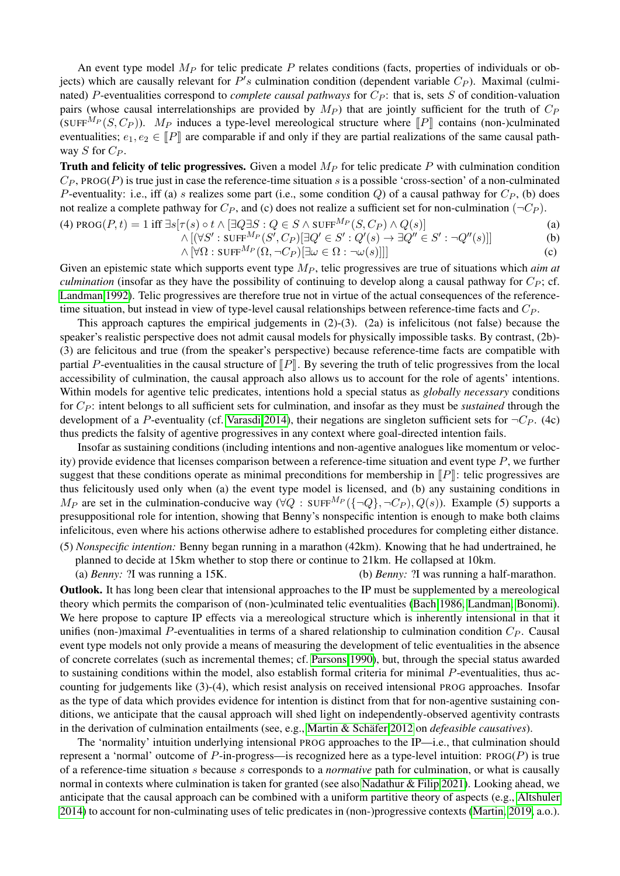An event type model  $M_P$  for telic predicate  $P$  relates conditions (facts, properties of individuals or objects) which are causally relevant for  $P's$  culmination condition (dependent variable  $C_P$ ). Maximal (culminated) P-eventualities correspond to *complete causal pathways* for  $C_P$ : that is, sets S of condition-valuation pairs (whose causal interrelationships are provided by  $M_P$ ) that are jointly sufficient for the truth of  $C_P$ (SUFF<sup>M<sub>P</sub></sup>(S, C<sub>P</sub>)). M<sub>P</sub> induces a type-level mereological structure where  $\llbracket P \rrbracket$  contains (non-)culminated eventualities;  $e_1, e_2 \in \llbracket P \rrbracket$  are comparable if and only if they are partial realizations of the same causal pathway S for  $C_P$ .

Truth and felicity of telic progressives. Given a model  $M<sub>P</sub>$  for telic predicate P with culmination condition  $C_P$ , PROG(P) is true just in case the reference-time situation s is a possible 'cross-section' of a non-culminated P-eventuality: i.e., iff (a) s realizes some part (i.e., some condition Q) of a causal pathway for  $C_P$ , (b) does not realize a complete pathway for  $C_P$ , and (c) does not realize a sufficient set for non-culmination ( $\neg C_P$ ).

(4) 
$$
\text{PROG}(P, t) = 1 \text{ iff } \exists s [\tau(s) \circ t \land [\exists Q \exists S : Q \in S \land \text{SUFF}^{M_P}(S, C_P) \land Q(s)]
$$
 (a)

$$
\wedge [(\forall S':\text{SUFF}^{M_P}(S',C_P)[\exists Q' \in S':Q'(s) \to \exists Q'' \in S':\neg Q''(s)]]
$$
 (b)

$$
\wedge [\forall \Omega : \text{SUFF}^{M_P}(\Omega, \neg C_P)[\exists \omega \in \Omega : \neg \omega(s)]]]
$$
\n
$$
(c)
$$

Given an epistemic state which supports event type  $M_p$ , telic progressives are true of situations which *aim at culmination* (insofar as they have the possibility of continuing to develop along a causal pathway for  $C_P$ ; cf. [Landman 1992\)](#page-2-6). Telic progressives are therefore true not in virtue of the actual consequences of the referencetime situation, but instead in view of type-level causal relationships between reference-time facts and  $C_P$ .

This approach captures the empirical judgements in (2)-(3). (2a) is infelicitous (not false) because the speaker's realistic perspective does not admit causal models for physically impossible tasks. By contrast, (2b)- (3) are felicitous and true (from the speaker's perspective) because reference-time facts are compatible with partial P-eventualities in the causal structure of  $\llbracket P \rrbracket$ . By severing the truth of telic progressives from the local accessibility of culmination, the causal approach also allows us to account for the role of agents' intentions. Within models for agentive telic predicates, intentions hold a special status as *globally necessary* conditions for C<sup>P</sup> : intent belongs to all sufficient sets for culmination, and insofar as they must be *sustained* through the development of a P-eventuality (cf. [Varasdi 2014\)](#page-2-7), their negations are singleton sufficient sets for  $\neg C_P$ . (4c) thus predicts the falsity of agentive progressives in any context where goal-directed intention fails.

Insofar as sustaining conditions (including intentions and non-agentive analogues like momentum or velocity) provide evidence that licenses comparison between a reference-time situation and event type  $P$ , we further suggest that these conditions operate as minimal preconditions for membership in  $\llbracket P \rrbracket$ : telic progressives are thus felicitously used only when (a) the event type model is licensed, and (b) any sustaining conditions in  $M_P$  are set in the culmination-conducive way ( $\forall Q$ : SUFF $^{M_P}(\{\neg Q\}, \neg C_P)$ ,  $Q(s)$ ). Example (5) supports a presuppositional role for intention, showing that Benny's nonspecific intention is enough to make both claims infelicitous, even where his actions otherwise adhere to established procedures for completing either distance. (5) *Nonspecific intention:* Benny began running in a marathon (42km). Knowing that he had undertrained, he

planned to decide at 15km whether to stop there or continue to 21km. He collapsed at 10km.

(a) *Benny:* ?I was running a 15K. (b) *Benny:* ?I was running a half-marathon.

Outlook. It has long been clear that intensional approaches to the IP must be supplemented by a mereological theory which permits the comparison of (non-)culminated telic eventualities [\(Bach 1986,](#page-2-8) [Landman,](#page-2-6) [Bonomi\)](#page-2-2). We here propose to capture IP effects via a mereological structure which is inherently intensional in that it unifies (non-)maximal P-eventualities in terms of a shared relationship to culmination condition  $C_P$ . Causal event type models not only provide a means of measuring the development of telic eventualities in the absence of concrete correlates (such as incremental themes; cf. [Parsons 1990\)](#page-2-9), but, through the special status awarded to sustaining conditions within the model, also establish formal criteria for minimal P-eventualities, thus accounting for judgements like (3)-(4), which resist analysis on received intensional PROG approaches. Insofar as the type of data which provides evidence for intention is distinct from that for non-agentive sustaining conditions, we anticipate that the causal approach will shed light on independently-observed agentivity contrasts in the derivation of culmination entailments (see, e.g., Martin & Schäfer 2012 on *defeasible causatives*).

The 'normality' intuition underlying intensional PROG approaches to the IP—i.e., that culmination should represent a 'normal' outcome of  $P$ -in-progress—is recognized here as a type-level intuition:  $PROG(P)$  is true of a reference-time situation s because s corresponds to a *normative* path for culmination, or what is causally normal in contexts where culmination is taken for granted (see also [Nadathur & Filip 2021\)](#page-2-11). Looking ahead, we anticipate that the causal approach can be combined with a uniform partitive theory of aspects (e.g., [Altshuler](#page-2-12) [2014\)](#page-2-12) to account for non-culminating uses of telic predicates in (non-)progressive contexts [\(Martin, 2019,](#page-2-13) a.o.).